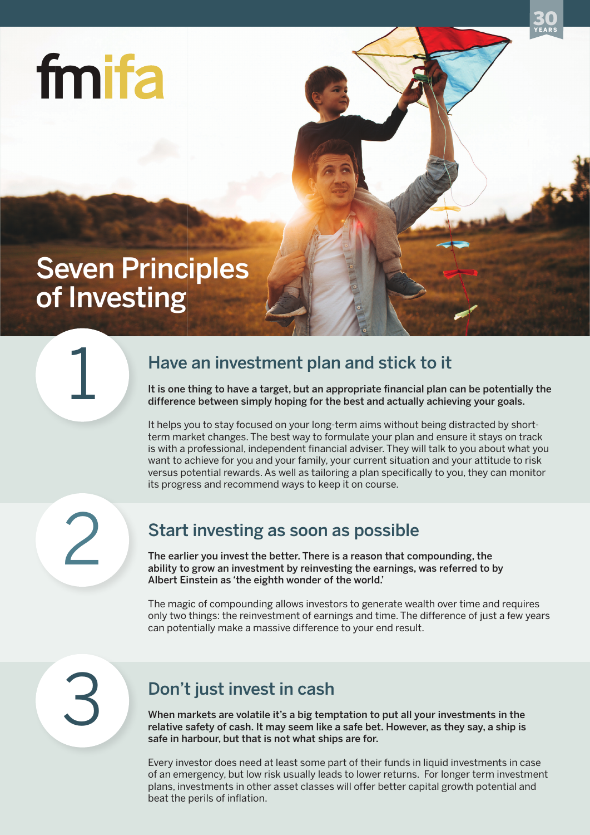

# Seven Principles of Investing

#### Have an investment plan and stick to it

It is one thing to have a target, but an appropriate financial plan can be potentially the difference between simply hoping for the best and actually achieving your goals.

YEARS 30

It helps you to stay focused on your long-term aims without being distracted by shortterm market changes. The best way to formulate your plan and ensure it stays on track is with a professional, independent financial adviser. They will talk to you about what you want to achieve for you and your family, your current situation and your attitude to risk versus potential rewards. As well as tailoring a plan specifically to you, they can monitor its progress and recommend ways to keep it on course.

2

1

## Start investing as soon as possible

The earlier you invest the better. There is a reason that compounding, the ability to grow an investment by reinvesting the earnings, was referred to by Albert Einstein as 'the eighth wonder of the world.'

The magic of compounding allows investors to generate wealth over time and requires only two things: the reinvestment of earnings and time. The difference of just a few years can potentially make a massive difference to your end result.

3

## Don't just invest in cash

When markets are volatile it's a big temptation to put all your investments in the relative safety of cash. It may seem like a safe bet. However, as they say, a ship is safe in harbour, but that is not what ships are for.

Every investor does need at least some part of their funds in liquid investments in case of an emergency, but low risk usually leads to lower returns. For longer term investment plans, investments in other asset classes will offer better capital growth potential and beat the perils of inflation.